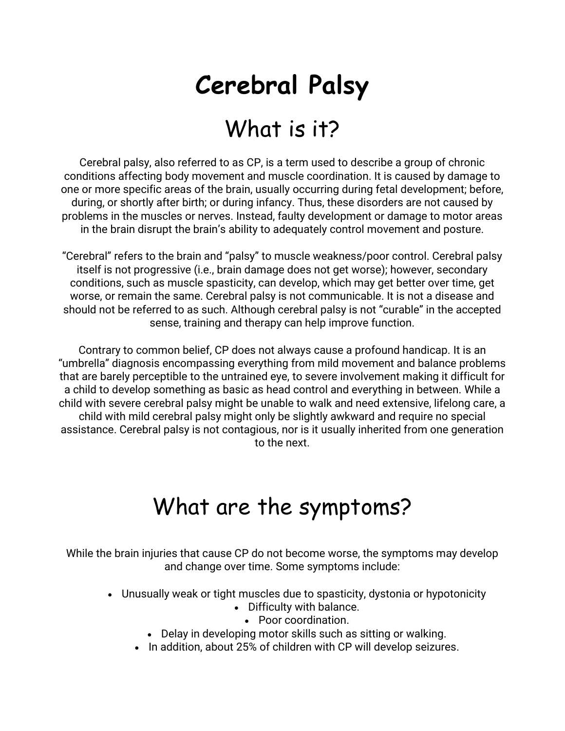## **Cerebral Palsy**

## What is it?

Cerebral palsy, also referred to as CP, is a term used to describe a group of chronic conditions affecting body movement and muscle coordination. It is caused by damage to one or more specific areas of the brain, usually occurring during fetal development; before, during, or shortly after birth; or during infancy. Thus, these disorders are not caused by problems in the muscles or nerves. Instead, faulty development or damage to motor areas in the brain disrupt the brain's ability to adequately control movement and posture.

"Cerebral" refers to the brain and "palsy" to muscle weakness/poor control. Cerebral palsy itself is not progressive (i.e., brain damage does not get worse); however, secondary conditions, such as muscle spasticity, can develop, which may get better over time, get worse, or remain the same. Cerebral palsy is not communicable. It is not a disease and should not be referred to as such. Although cerebral palsy is not "curable" in the accepted sense, training and therapy can help improve function.

Contrary to common belief, CP does not always cause a profound handicap. It is an "umbrella" diagnosis encompassing everything from mild movement and balance problems that are barely perceptible to the untrained eye, to severe involvement making it difficult for a child to develop something as basic as head control and everything in between. While a child with severe cerebral palsy might be unable to walk and need extensive, lifelong care, a child with mild cerebral palsy might only be slightly awkward and require no special assistance. Cerebral palsy is not contagious, nor is it usually inherited from one generation to the next.

## What are the symptoms?

While the brain injuries that cause CP do not become worse, the symptoms may develop and change over time. Some symptoms include:

- Unusually weak or tight muscles due to spasticity, dystonia or hypotonicity
	- Difficulty with balance.
		- Poor coordination.
	- Delay in developing motor skills such as sitting or walking.
	- In addition, about 25% of children with CP will develop seizures.